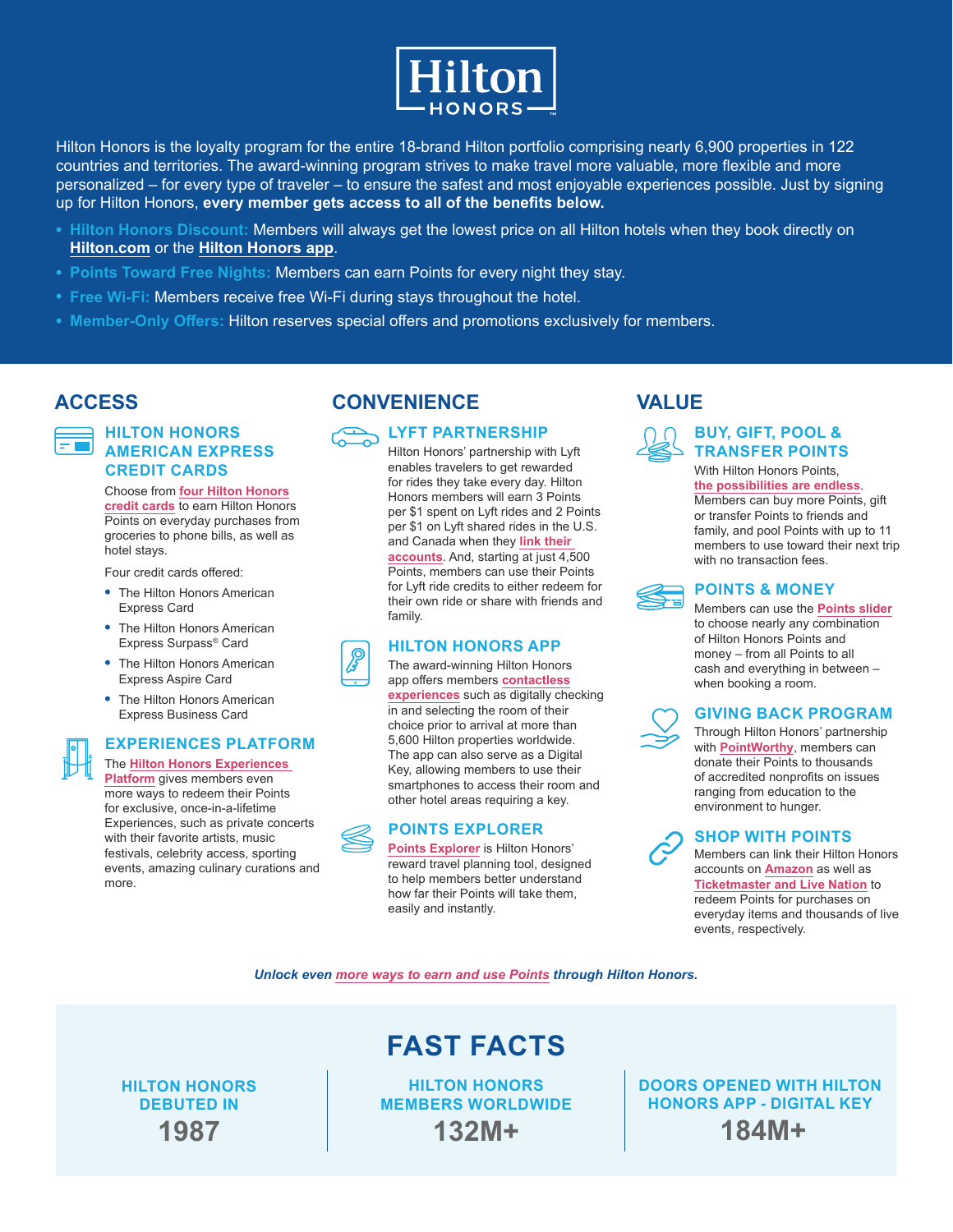

Hilton Honors is the loyalty program for the entire 18-brand Hilton portfolio comprising nearly 6,900 properties in 122 countries and territories. The award-winning program strives to make travel more valuable, more flexible and more personalized – for every type of traveler – to ensure the safest and most enjoyable experiences possible. Just by signing up for Hilton Honors, **every member gets access to all of the benefits below.**

- **• Hilton Honors Discount:** Members will always get the lowest price on all Hilton hotels when they book directly on **[Hilton.com](https://www.hilton.com/en/hilton-honors/)** or the **[Hilton Honors app](https://hiltonhonors3.hilton.com/rs/hilton-honors-mobile-app/)**.
- **• Points Toward Free Nights:** Members can earn Points for every night they stay.
- **• Free Wi-Fi:** Members receive free Wi-Fi during stays throughout the hotel.
- **• Member-Only Offers:** Hilton reserves special offers and promotions exclusively for members.

### **HILTON HONORS AMERICAN EXPRESS CREDIT CARDS**

Choose from **[four Hilton Honors](https://www.hilton.com/en/hilton-honors/credit-cards/) [credit cards](https://www.hilton.com/en/hilton-honors/credit-cards/)** to earn Hilton Honors Points on everyday purchases from groceries to phone bills, as well as hotel stays.

Four credit cards offered:

- **•** The Hilton Honors American Express Card
- **•** The Hilton Honors American Express Surpass® Card
- **•** The Hilton Honors American Express Aspire Card
- **•** The Hilton Honors American Express Business Card

### **EXPERIENCES PLATFORM**

The **[Hilton Honors Experiences](http://Experiences.HiltonHonors.com)  [Platform](http://Experiences.HiltonHonors.com)** gives members even more ways to redeem their Points for exclusive, once-in-a-lifetime Experiences, such as private concerts with their favorite artists, music festivals, celebrity access, sporting events, amazing culinary curations and more.

## **ACCESS CONVENIENCE VALUE**



Hilton Honors' partnership with Lyft **TRANSFER POINTS** enables travelers to get rewarded for rides they take every day. Hilton Honors members will earn 3 Points per \$1 spent on Lyft rides and 2 Points per \$1 on Lyft shared rides in the U.S. and Canada when they **[link their](http://HiltonHonorsLyft.com)  [accounts](http://HiltonHonorsLyft.com)**. And, starting at just 4,500 Points, members can use their Points for Lyft ride credits to either redeem for their own ride or share with friends and family.

### **HILTON HONORS APP**

The award-winning Hilton Honors app offers members **[contactless](https://hiltonhonors3.hilton.com/rs/hilton-honors-mobile-app/) [experiences](https://hiltonhonors3.hilton.com/rs/hilton-honors-mobile-app/)** such as digitally checking in and selecting the room of their choice prior to arrival at more than 5,600 Hilton properties worldwide. The app can also serve as a Digital Key, allowing members to use their smartphones to access their room and other hotel areas requiring a key.

### **POINTS EXPLORER**

**[Points Explorer](http://PointsExplorer.HiltonHonors.com)** is Hilton Honors' reward travel planning tool, designed to help members better understand how far their Points will take them, easily and instantly.



## With Hilton Honors Points. **BUY, GIFT, POOL &**

**[the possibilities are endless](https://hiltonhonors3.hilton.com/en/earn-use-points/buy-give-receive/index.html)**. Members can buy more Points, gift or transfer Points to friends and family, and pool Points with up to 11 members to use toward their next trip with no transaction fees.



### **POINTS & MONEY**

Members can use the **[Points slider](https://hiltonhonors3.hilton.com/rs/points-money/)** to choose nearly any combination of Hilton Honors Points and money – from all Points to all cash and everything in between – when booking a room.



### **GIVING BACK PROGRAM**

Through Hilton Honors' partnership with **[PointWorthy](https://www.pointworthy.com/partners/hilton/index.xhtml)**, members can donate their Points to thousands of accredited nonprofits on issues ranging from education to the environment to hunger.

**SHOP WITH POINTS**

Members can link their Hilton Honors accounts on **[Amazon](https://www.amazon.com/b?node=16491659011)** as well as **[Ticketmaster and Live Nation](https://experiences.hiltonhonors.com/tickets-with-points)** to redeem Points for purchases on everyday items and thousands of live events, respectively.

*Unlock even [more ways to earn and use Points](https://www.hilton.com/en/hilton-honors/points) through Hilton Honors.*

**HILTON HONORS DEBUTED IN 1987**

**HILTON HONORS MEMBERS WORLDWIDE 132M+**

**FAST FACTS**

**DOORS OPENED WITH HILTON HONORS APP - DIGITAL KEY 184M+**